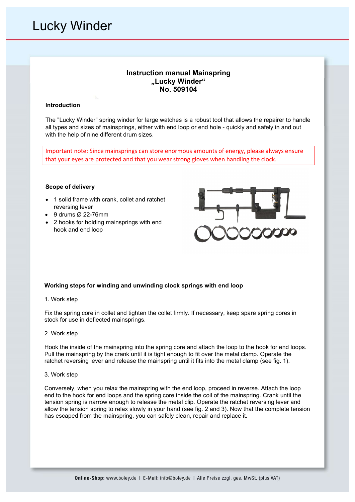# Lucky Winder

# Instruction manual Mainspring "Lucky Winder" No. 509104

### Introduction

The "Lucky Winder" spring winder for large watches is a robust tool that allows the repairer to handle all types and sizes of mainsprings, either with end loop or end hole - quickly and safely in and out with the help of nine different drum sizes.

Important note: Since mainsprings can store enormous amounts of energy, please always ensure that your eyes are protected and that you wear strong gloves when handling the clock.

#### Scope of delivery

- 1 solid frame with crank, collet and ratchet reversing lever
- 9 drums Ø 22-76mm
- 2 hooks for holding mainsprings with end hook and end loop



# Working steps for winding and unwinding clock springs with end loop

1. Work step

Fix the spring core in collet and tighten the collet firmly. If necessary, keep spare spring cores in stock for use in deflected mainsprings.

#### 2. Work step

Hook the inside of the mainspring into the spring core and attach the loop to the hook for end loops. Pull the mainspring by the crank until it is tight enough to fit over the metal clamp. Operate the ratchet reversing lever and release the mainspring until it fits into the metal clamp (see fig. 1).

#### 3. Work step

Conversely, when you relax the mainspring with the end loop, proceed in reverse. Attach the loop end to the hook for end loops and the spring core inside the coil of the mainspring. Crank until the tension spring is narrow enough to release the metal clip. Operate the ratchet reversing lever and allow the tension spring to relax slowly in your hand (see fig. 2 and 3). Now that the complete tension has escaped from the mainspring, you can safely clean, repair and replace it.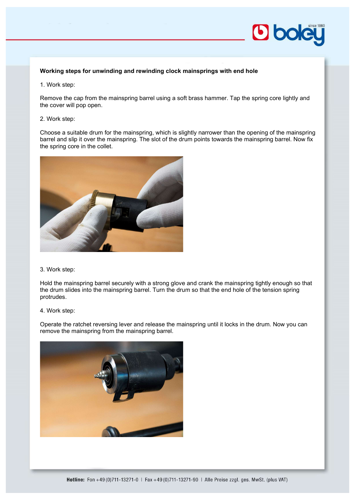

# Working steps for unwinding and rewinding clock mainsprings with end hole

1. Work step:

Remove the cap from the mainspring barrel using a soft brass hammer. Tap the spring core lightly and the cover will pop open.

### 2. Work step:

Choose a suitable drum for the mainspring, which is slightly narrower than the opening of the mainspring barrel and slip it over the mainspring. The slot of the drum points towards the mainspring barrel. Now fix the spring core in the collet.



# 3. Work step:

Hold the mainspring barrel securely with a strong glove and crank the mainspring tightly enough so that the drum slides into the mainspring barrel. Turn the drum so that the end hole of the tension spring protrudes.

# 4. Work step:

Operate the ratchet reversing lever and release the mainspring until it locks in the drum. Now you can remove the mainspring from the mainspring barrel.

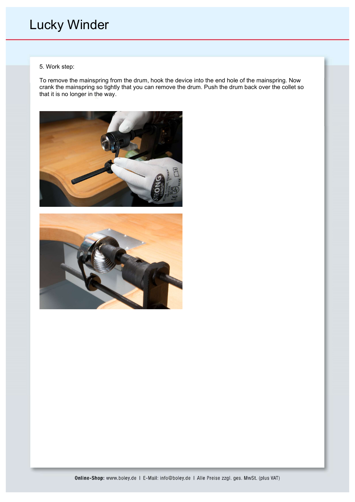# Lucky Winder

# 5. Work step:

To remove the mainspring from the drum, hook the device into the end hole of the mainspring. Now crank the mainspring so tightly that you can remove the drum. Push the drum back over the collet so that it is no longer in the way.